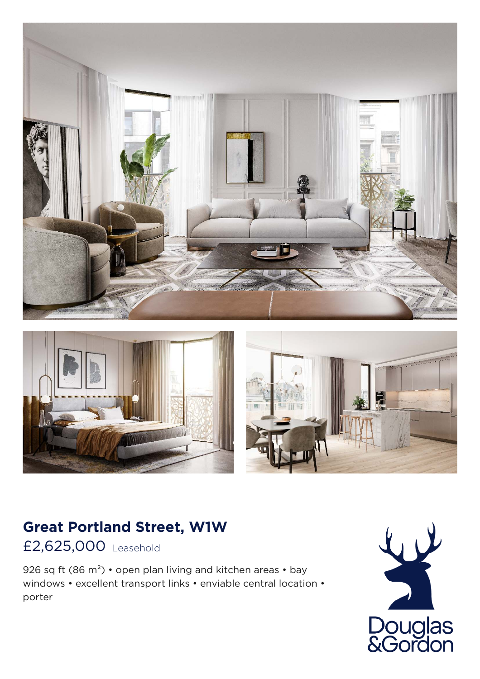





## **Great Portland Street, W1W**

## £2,625,000 Leasehold

926 sq ft (86 m<sup>2</sup>) • open plan living and kitchen areas • bay windows • excellent transport links • enviable central location • porter